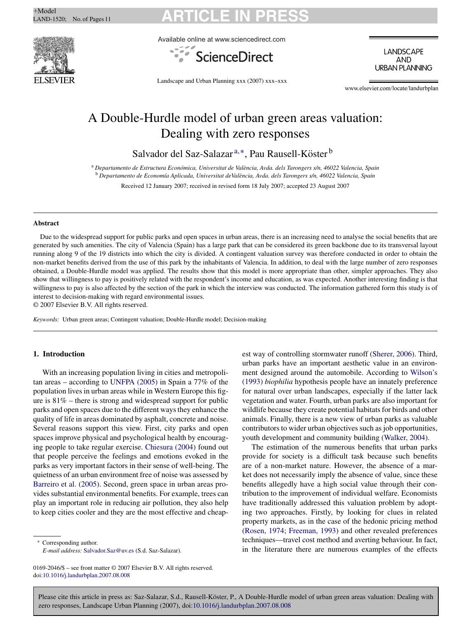

Available online at www.sciencedirect.com



LANDSCAPE **AND URBAN PLANNING** 

Landscape and Urban Planning xxx (2007) xxx–xxx

www.elsevier.com/locate/landurbplan

# A Double-Hurdle model of urban green areas valuation: Dealing with zero responses

Salvador del Saz-Salazar<sup>a,∗</sup>, Pau Rausell-Köster<sup>b</sup>

<sup>a</sup> Departamento de Estructura Económica, Universitat de València, Avda. dels Tarongers s/n, 46022 Valencia, Spain <sup>b</sup> Departamento de Economía Aplicada, Universitat deValència, Avda. dels Tarongers s/n, 46022 Valencia, Spain

Received 12 January 2007; received in revised form 18 July 2007; accepted 23 August 2007

### **Abstract**

Due to the widespread support for public parks and open spaces in urban areas, there is an increasing need to analyse the social benefits that are generated by such amenities. The city of Valencia (Spain) has a large park that can be considered its green backbone due to its transversal layout running along 9 of the 19 districts into which the city is divided. A contingent valuation survey was therefore conducted in order to obtain the non-market benefits derived from the use of this park by the inhabitants of Valencia. In addition, to deal with the large number of zero responses obtained, a Double-Hurdle model was applied. The results show that this model is more appropriate than other, simpler approaches. They also show that willingness to pay is positively related with the respondent's income and education, as was expected. Another interesting finding is that willingness to pay is also affected by the section of the park in which the interview was conducted. The information gathered form this study is of interest to decision-making with regard environmental issues.

© 2007 Elsevier B.V. All rights reserved.

*Keywords:* Urban green areas; Contingent valuation; Double-Hurdle model; Decision-making

### **1. Introduction**

With an increasing population living in cities and metropolitan areas – according to [UNFPA \(2005\)](#page-10-0) in Spain a 77% of the population lives in urban areas while in Western Europe this figure is  $81\%$  – there is strong and widespread support for public parks and open spaces due to the different ways they enhance the quality of life in areas dominated by asphalt, concrete and noise. Several reasons support this view. First, city parks and open spaces improve physical and psychological health by encouraging people to take regular exercise. [Chiesura \(2004\)](#page-9-0) found out that people perceive the feelings and emotions evoked in the parks as very important factors in their sense of well-being. The quietness of an urban environment free of noise was assessed by [Barreiro et al. \(2005\).](#page-9-0) Second, green space in urban areas provides substantial environmental benefits. For example, trees can play an important role in reducing air pollution, they also help to keep cities cooler and they are the most effective and cheap-

Corresponding author.

*E-mail address:* [Salvador.Saz@uv.es](mailto:Salvador.Saz@uv.es) (S.d. Saz-Salazar).

0169-2046/\$ – see front matter © 2007 Elsevier B.V. All rights reserved. doi[:10.1016/j.landurbplan.2007.08.008](dx.doi.org/10.1016/j.landurbplan.2007.08.008)

est way of controlling stormwater runoff [\(Sherer, 2006\).](#page-9-0) Third, urban parks have an important aesthetic value in an environment designed around the automobile. According to [Wilson's](#page-10-0) [\(1993\)](#page-10-0) *biophilia* hypothesis people have an innately preference for natural over urban landscapes, especially if the latter lack vegetation and water. Fourth, urban parks are also important for wildlife because they create potential habitats for birds and other animals. Finally, there is a new view of urban parks as valuable contributors to wider urban objectives such as job opportunities, youth development and community building ([Walker, 2004\).](#page-10-0)

The estimation of the numerous benefits that urban parks provide for society is a difficult task because such benefits are of a non-market nature. However, the absence of a market does not necessarily imply the absence of value, since these benefits allegedly have a high social value through their contribution to the improvement of individual welfare. Economists have traditionally addressed this valuation problem by adopting two approaches. Firstly, by looking for clues in related property markets, as in the case of the hedonic pricing method ([Rosen, 1974; Freeman, 1993\)](#page-9-0) and other revealed preferences techniques—travel cost method and averting behaviour. In fact, in the literature there are numerous examples of the effects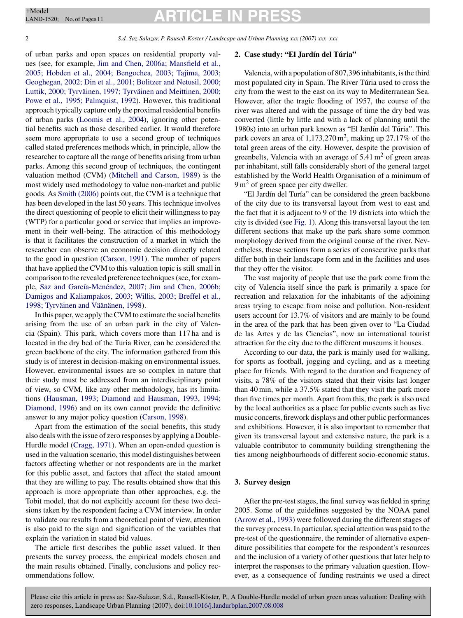of urban parks and open spaces on residential property values (see, for example, [Jim and Chen, 2006a; Mansfield et al.,](#page-9-0) [2005; Hobden et al., 2004; Bengochea, 2003; Tajima, 2003;](#page-9-0) [Geoghegan, 2002; Din et al., 2001; Bolitzer and Netusil, 2000;](#page-9-0) Luttik, 2000; Tyrväinen, 1997; Tyrväinen and Meittinen, 2000; [Powe et al., 1995; Palmquist, 1992\).](#page-9-0) However, this traditional approach typically capture only the proximal residential benefits of urban parks [\(Loomis et al., 2004\),](#page-9-0) ignoring other potential benefits such as those described earlier. It would therefore seem more appropriate to use a second group of techniques called stated preferences methods which, in principle, allow the researcher to capture all the range of benefits arising from urban parks. Among this second group of techniques, the contingent valuation method (CVM) ([Mitchell and Carson, 1989\)](#page-9-0) is the most widely used methodology to value non-market and public goods. As [Smith \(2006\)](#page-10-0) points out, the CVM is a technique that has been developed in the last 50 years. This technique involves the direct questioning of people to elicit their willingness to pay (WTP) for a particular good or service that implies an improvement in their well-being. The attraction of this methodology is that it facilitates the construction of a market in which the researcher can observe an economic decision directly related to the good in question [\(Carson, 1991\).](#page-9-0) The number of papers that have applied the CVM to this valuation topic is still small in comparison to the revealed preference techniques (see, for example, Saz and García-Menéndez, 2007; Jim and Chen, 2006b; [Damigos and Kaliampakos, 2003; Willis, 2003; Breffel et al.,](#page-9-0) 1998; Tyrväinen and Väänänen, 1998).

In this paper, we apply the CVM to estimate the social benefits arising from the use of an urban park in the city of Valencia (Spain). This park, which covers more than 117 ha and is located in the dry bed of the Turia River, can be considered the green backbone of the city. The information gathered from this study is of interest in decision-making on environmental issues. However, environmental issues are so complex in nature that their study must be addressed from an interdisciplinary point of view, so CVM, like any other methodology, has its limitations ([Hausman, 1993; Diamond and Hausman, 1993, 1994;](#page-9-0) [Diamond, 1996\)](#page-9-0) and on its own cannot provide the definitive answer to any major policy question [\(Carson, 1998\).](#page-9-0)

Apart from the estimation of the social benefits, this study also deals with the issue of zero responses by applying a Double-Hurdle model [\(Cragg, 1971\).](#page-9-0) When an open-ended question is used in the valuation scenario, this model distinguishes between factors affecting whether or not respondents are in the market for this public asset, and factors that affect the stated amount that they are willing to pay. The results obtained show that this approach is more appropriate than other approaches, e.g. the Tobit model, that do not explicitly account for these two decisions taken by the respondent facing a CVM interview. In order to validate our results from a theoretical point of view, attention is also paid to the sign and signification of the variables that explain the variation in stated bid values.

The article first describes the public asset valued. It then presents the survey process, the empirical models chosen and the main results obtained. Finally, conclusions and policy recommendations follow.

#### 2. Case study: "El Jardín del Túria"

Valencia, with a population of 807,396 inhabitants, is the third most populated city in Spain. The River Túria used to cross the city from the west to the east on its way to Mediterranean Sea. However, after the tragic flooding of 1957, the course of the river was altered and with the passage of time the dry bed was converted (little by little and with a lack of planning until the 1980s) into an urban park known as "El Jardín del Túria". This park covers an area of  $1,173,270 \,\mathrm{m}^2$ , making up 27.17% of the total green areas of the city. However, despite the provision of greenbelts, Valencia with an average of  $5.41 \text{ m}^2$  of green areas per inhabitant, still falls considerably short of the general target established by the World Health Organisation of a minimum of  $9 \text{ m}^2$  of green space per city dweller.

"El Jardín del Turía" can be considered the green backbone of the city due to its transversal layout from west to east and the fact that it is adjacent to 9 of the 19 districts into which the city is divided (see [Fig. 1\).](#page-2-0) Along this transversal layout the ten different sections that make up the park share some common morphology derived from the original course of the river. Nevertheless, these sections form a series of consecutive parks that differ both in their landscape form and in the facilities and uses that they offer the visitor.

The vast majority of people that use the park come from the city of Valencia itself since the park is primarily a space for recreation and relaxation for the inhabitants of the adjoining areas trying to escape from noise and pollution. Non-resident users account for 13.7% of visitors and are mainly to be found in the area of the park that has been given over to "La Ciudad de las Artes y de las Ciencias", now an international tourist attraction for the city due to the different museums it houses.

According to our data, the park is mainly used for walking, for sports as football, jogging and cycling, and as a meeting place for friends. With regard to the duration and frequency of visits, a 78% of the visitors stated that their visits last longer than 40 min, while a 37.5% stated that they visit the park more than five times per month. Apart from this, the park is also used by the local authorities as a place for public events such as live music concerts, firework displays and other public performances and exhibitions. However, it is also important to remember that given its transversal layout and extensive nature, the park is a valuable contributor to community building strengthening the ties among neighbourhoods of different socio-economic status.

#### **3. Survey design**

After the pre-test stages, the final survey was fielded in spring 2005. Some of the guidelines suggested by the NOAA panel [\(Arrow et al., 1993\)](#page-9-0) were followed during the different stages of the survey process. In particular, special attention was paid to the pre-test of the questionnaire, the reminder of alternative expenditure possibilities that compete for the respondent's resources and the inclusion of a variety of other questions that later help to interpret the responses to the primary valuation question. However, as a consequence of funding restraints we used a direct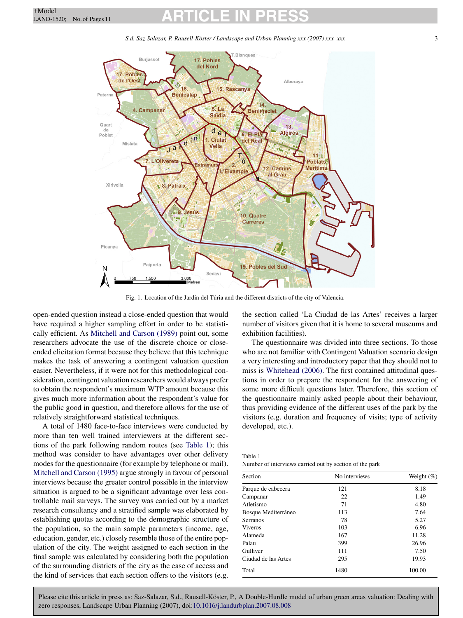

<span id="page-2-0"></span>

Fig. 1. Location of the Jardín del Túria and the different districts of the city of Valencia.

open-ended question instead a close-ended question that would have required a higher sampling effort in order to be statistically efficient. As [Mitchell and Carson \(1989\)](#page-9-0) point out, some researchers advocate the use of the discrete choice or closeended elicitation format because they believe that this technique makes the task of answering a contingent valuation question easier. Nevertheless, if it were not for this methodological consideration, contingent valuation researchers would always prefer to obtain the respondent's maximum WTP amount because this gives much more information about the respondent's value for the public good in question, and therefore allows for the use of relatively straightforward statistical techniques.

A total of 1480 face-to-face interviews were conducted by more than ten well trained interviewers at the different sections of the park following random routes (see Table 1); this method was consider to have advantages over other delivery modes for the questionnaire (for example by telephone or mail). [Mitchell and Carson \(1995\)](#page-9-0) argue strongly in favour of personal interviews because the greater control possible in the interview situation is argued to be a significant advantage over less controllable mail surveys. The survey was carried out by a market research consultancy and a stratified sample was elaborated by establishing quotas according to the demographic structure of the population, so the main sample parameters (income, age, education, gender, etc.) closely resemble those of the entire population of the city. The weight assigned to each section in the final sample was calculated by considering both the population of the surrounding districts of the city as the ease of access and the kind of services that each section offers to the visitors (e.g.

the section called 'La Ciudad de las Artes' receives a larger number of visitors given that it is home to several museums and exhibition facilities).

The questionnaire was divided into three sections. To those who are not familiar with Contingent Valuation scenario design a very interesting and introductory paper that they should not to miss is [Whitehead \(2006\). T](#page-10-0)he first contained attitudinal questions in order to prepare the respondent for the answering of some more difficult questions later. Therefore, this section of the questionnaire mainly asked people about their behaviour, thus providing evidence of the different uses of the park by the visitors (e.g. duration and frequency of visits; type of activity developed, etc.).

| Table 1                                                 |  |
|---------------------------------------------------------|--|
| Number of interviews carried out by section of the park |  |

| Section             | No interviews | Weight $(\%)$ |  |
|---------------------|---------------|---------------|--|
| Parque de cabecera  | 121           | 8.18          |  |
| Campanar            | 22            | 1.49          |  |
| Atletismo           | 71            | 4.80          |  |
| Bosque Mediterráneo | 113           | 7.64          |  |
| Serranos            | 78            | 5.27          |  |
| <b>Viveros</b>      | 103           | 6.96          |  |
| Alameda             | 167           | 11.28         |  |
| Palau               | 399           | 26.96         |  |
| Gulliver            | 111           | 7.50          |  |
| Ciudad de las Artes | 295           | 19.93         |  |
| Total               | 1480          | 100.00        |  |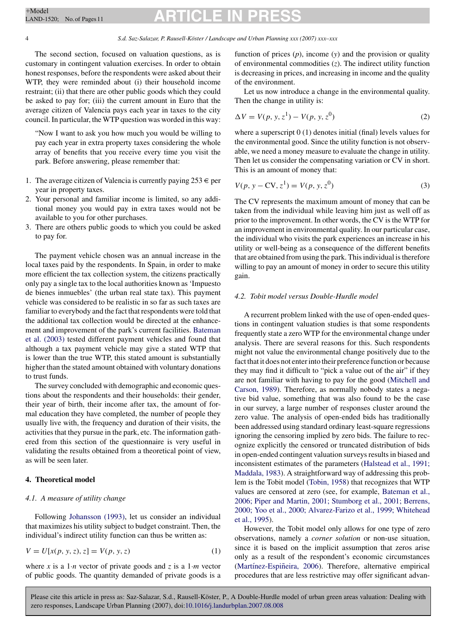#### 4 *S.d. Saz-Salazar, P. Rausell-K ¨oster / Landscape and Urban Planning xxx (2007) xxx–xxx*

The second section, focused on valuation questions, as is customary in contingent valuation exercises. In order to obtain honest responses, before the respondents were asked about their WTP, they were reminded about (i) their household income restraint; (ii) that there are other public goods which they could be asked to pay for; (iii) the current amount in Euro that the average citizen of Valencia pays each year in taxes to the city council. In particular, the WTP question was worded in this way:

"Now I want to ask you how much you would be willing to pay each year in extra property taxes considering the whole array of benefits that you receive every time you visit the park. Before answering, please remember that:

- 1. The average citizen of Valencia is currently paying  $253 \in$  per year in property taxes.
- 2. Your personal and familiar income is limited, so any additional money you would pay in extra taxes would not be available to you for other purchases.
- 3. There are others public goods to which you could be asked to pay for.

The payment vehicle chosen was an annual increase in the local taxes paid by the respondents. In Spain, in order to make more efficient the tax collection system, the citizens practically only pay a single tax to the local authorities known as 'Impuesto de bienes inmuebles' (the urban real state tax). This payment vehicle was considered to be realistic in so far as such taxes are familiar to everybody and the fact that respondents were told that the additional tax collection would be directed at the enhancement and improvement of the park's current facilities. [Bateman](#page-9-0) [et al. \(2003\)](#page-9-0) tested different payment vehicles and found that although a tax payment vehicle may give a stated WTP that is lower than the true WTP, this stated amount is substantially higher than the stated amount obtained with voluntary donations to trust funds.

The survey concluded with demographic and economic questions about the respondents and their households: their gender, their year of birth, their income after tax, the amount of formal education they have completed, the number of people they usually live with, the frequency and duration of their visits, the activities that they pursue in the park, etc. The information gathered from this section of the questionnaire is very useful in validating the results obtained from a theoretical point of view, as will be seen later.

# **4. Theoretical model**

#### *4.1. A measure of utility change*

Following [Johansson \(1993\),](#page-9-0) let us consider an individual that maximizes his utility subject to budget constraint. Then, the individual's indirect utility function can thus be written as:

$$
V = U[x(p, y, z), z] = V(p, y, z)
$$
 (1)

where *x* is a 1*·n* vector of private goods and *z* is a 1*·m* vector of public goods. The quantity demanded of private goods is a function of prices (*p*), income (*y*) and the provision or quality of environmental commodities (*z*). The indirect utility function is decreasing in prices, and increasing in income and the quality of the environment.

Let us now introduce a change in the environmental quality. Then the change in utility is:

$$
\Delta V = V(p, y, z^1) - V(p, y, z^0)
$$
 (2)

where a superscript 0 (1) denotes initial (final) levels values for the environmental good. Since the utility function is not observable, we need a money measure to evaluate the change in utility. Then let us consider the compensating variation or CV in short. This is an amount of money that:

$$
V(p, y - CV, z1) = V(p, y, z0)
$$
\n(3)

The CV represents the maximum amount of money that can be taken from the individual while leaving him just as well off as prior to the improvement. In other words, the CV is the WTP for an improvement in environmental quality. In our particular case, the individual who visits the park experiences an increase in his utility or well-being as a consequence of the different benefits that are obtained from using the park. This individual is therefore willing to pay an amount of money in order to secure this utility gain.

#### *4.2. Tobit model versus Double-Hurdle model*

A recurrent problem linked with the use of open-ended questions in contingent valuation studies is that some respondents frequently state a zero WTP for the environmental change under analysis. There are several reasons for this. Such respondents might not value the environmental change positively due to the fact that it does not enter into their preference function or because they may find it difficult to "pick a value out of the air" if they are not familiar with having to pay for the good ([Mitchell and](#page-9-0) [Carson, 1989\).](#page-9-0) Therefore, as normally nobody states a negative bid value, something that was also found to be the case in our survey, a large number of responses cluster around the zero value. The analysis of open-ended bids has traditionally been addressed using standard ordinary least-square regressions ignoring the censoring implied by zero bids. The failure to recognize explicitly the censored or truncated distribution of bids in open-ended contingent valuation surveys results in biased and inconsistent estimates of the parameters ([Halstead et al., 1991;](#page-9-0) [Maddala, 1983\).](#page-9-0) A straightforward way of addressing this problem is the Tobit model ([Tobin, 1958\)](#page-10-0) that recognizes that WTP values are censored at zero (see, for example, [Bateman et al.,](#page-9-0) [2006; Piper and Martin, 2001; Stumborg et al., 2001; Berrens,](#page-9-0) [2000; Yoo et al., 2000; Alvarez-Farizo et al., 1999; Whitehead](#page-9-0) [et al., 1995\).](#page-9-0)

However, the Tobit model only allows for one type of zero observations, namely a *corner solution* or non-use situation, since it is based on the implicit assumption that zeros arise only as a result of the respondent's economic circumstances (Martínez-Espiñeira, 2006). Therefore, alternative empirical procedures that are less restrictive may offer significant advan-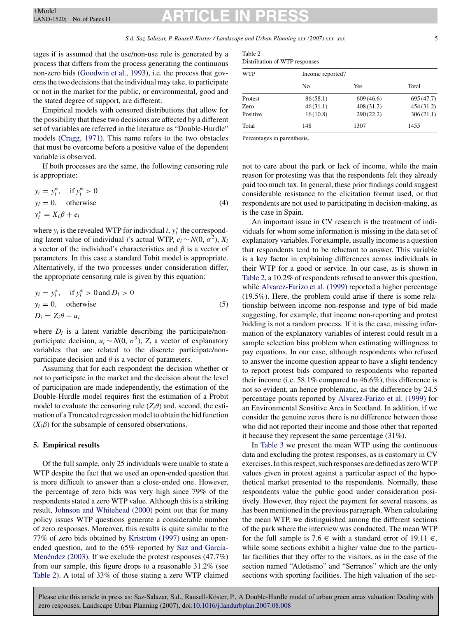tages if is assumed that the use/non-use rule is generated by a process that differs from the process generating the continuous non-zero bids [\(Goodwin et al., 1993\),](#page-9-0) i.e. the process that governs the two decisions that the individual may take, to participate or not in the market for the public, or environmental, good and the stated degree of support, are different.

Empirical models with censored distributions that allow for the possibility that these two decisions are affected by a different set of variables are referred in the literature as "Double-Hurdle" models [\(Cragg, 1971\).](#page-9-0) This name refers to the two obstacles that must be overcome before a positive value of the dependent variable is observed.

If both processes are the same, the following censoring rule is appropriate:

$$
y_i = y_i^*, \quad \text{if } y_i^* > 0
$$
  
\n
$$
y_i = 0, \quad \text{otherwise}
$$
  
\n
$$
y_i^* = X_i \beta + e_i
$$
\n(4)

where  $y_i$  is the revealed WTP for individual *i*,  $y_i^*$  the corresponding latent value of individual *i*'s actual WTP,  $e_i \sim N(0, \sigma^2)$ ,  $X_i$ a vector of the individual's characteristics and  $\beta$  is a vector of parameters. In this case a standard Tobit model is appropriate. Alternatively, if the two processes under consideration differ, the appropriate censoring rule is given by this equation:

$$
y_i = y_i^*, \quad \text{if } y_i^* > 0 \text{ and } D_i > 0
$$
  
\n
$$
y_i = 0, \quad \text{otherwise}
$$
  
\n
$$
D_i = Z_i \theta + u_i
$$
\n(5)

where  $D_i$  is a latent variable describing the participate/nonparticipate decision,  $u_i \sim N(0, \sigma^2)$ ,  $Z_i$  a vector of explanatory variables that are related to the discrete participate/nonparticipate decision and  $\theta$  is a vector of parameters.

Assuming that for each respondent the decision whether or not to participate in the market and the decision about the level of participation are made independently, the estimation of the Double-Hurdle model requires first the estimation of a Probit model to evaluate the censoring rule  $(Z_i \theta)$  and, second, the estimation of a Truncated regression model to obtain the bid function  $(X_i \beta)$  for the subsample of censored observations.

#### **5. Empirical results**

Of the full sample, only 25 individuals were unable to state a WTP despite the fact that we used an open-ended question that is more difficult to answer than a close-ended one. However, the percentage of zero bids was very high since 79% of the respondents stated a zero WTP value. Although this is a striking result, [Johnson and Whitehead \(2000\)](#page-9-0) point out that for many policy issues WTP questions generate a considerable number of zero responses. Moreover, this results is quite similar to the  $77\%$  of zero bids obtained by Kriström  $(1997)$  using an openended question, and to the  $65\%$  reported by Saz and García-Menéndez [\(2003\)](#page-9-0). If we exclude the protest responses  $(47.7\%)$ from our sample, this figure drops to a reasonable 31.2% (see Table 2). A total of 33% of those stating a zero WTP claimed

| Table 2                       |  |
|-------------------------------|--|
| Distribution of WTP responses |  |

| <b>WTP</b> | Income reported? |           |            |
|------------|------------------|-----------|------------|
|            | N <sub>0</sub>   | Yes       | Total      |
| Protest    | 86(58.1)         | 609(46.6) | 695(47.7)  |
| Zero       | 46(31.1)         | 408(31.2) | 454 (31.2) |
| Positive   | 16(10.8)         | 290(22.2) | 306(21.1)  |
| Total      | 148              | 1307      | 1455       |

Percentages in parenthesis.

not to care about the park or lack of income, while the main reason for protesting was that the respondents felt they already paid too much tax. In general, these prior findings could suggest considerable resistance to the elicitation format used, or that respondents are not used to participating in decision-making, as is the case in Spain.

An important issue in CV research is the treatment of individuals for whom some information is missing in the data set of explanatory variables. For example, usually income is a question that respondents tend to be reluctant to answer. This variable is a key factor in explaining differences across individuals in their WTP for a good or service. In our case, as is shown in Table 2, a 10.2% of respondents refused to answer this question, while [Alvarez-Farizo et al. \(1999\)](#page-9-0) reported a higher percentage (19.5%). Here, the problem could arise if there is some relationship between income non-response and type of bid made suggesting, for example, that income non-reporting and protest bidding is not a random process. If it is the case, missing information of the explanatory variables of interest could result in a sample selection bias problem when estimating willingness to pay equations. In our case, although respondents who refused to answer the income question appear to have a slight tendency to report protest bids compared to respondents who reported their income (i.e. 58.1% compared to 46.6%), this difference is not so evident, an hence problematic, as the difference by 24.5 percentage points reported by [Alvarez-Farizo et al. \(1999\)](#page-9-0) for an Environmental Sensitive Area in Scotland. In addition, if we consider the genuine zeros there is no difference between those who did not reported their income and those other that reported it because they represent the same percentage (31%).

In [Table 3](#page-5-0) we present the mean WTP using the continuous data and excluding the protest responses, as is customary in CV exercises. In this respect, such responses are defined as zero WTP values given in protest against a particular aspect of the hypothetical market presented to the respondents. Normally, these respondents value the public good under consideration positively. However, they reject the payment for several reasons, as has been mentioned in the previous paragraph. When calculating the mean WTP, we distinguished among the different sections of the park where the interview was conducted. The mean WTP for the full sample is 7.6  $\in$  with a standard error of 19.11  $\in$ , while some sections exhibit a higher value due to the particular facilities that they offer to the visitors, as in the case of the section named "Atletismo" and "Serranos" which are the only sections with sporting facilities. The high valuation of the sec-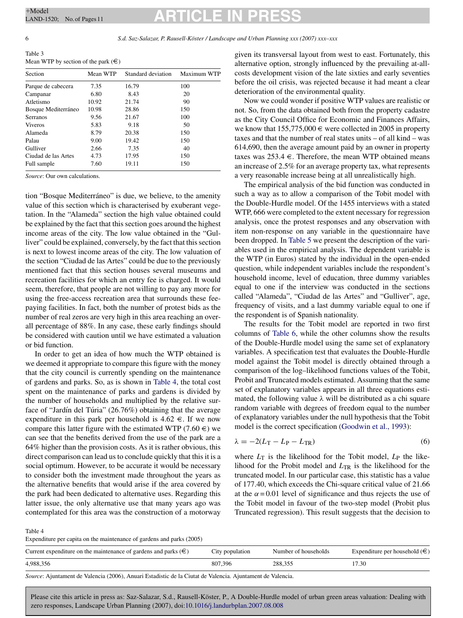<span id="page-5-0"></span>6 *S.d. Saz-Salazar, P. Rausell-K ¨oster / Landscape and Urban Planning xxx (2007) xxx–xxx*

Table 3 Mean WTP by section of the park  $(\epsilon)$ 

| Section             | Mean WTP | Standard deviation | Maximum WTP |
|---------------------|----------|--------------------|-------------|
| Parque de cabecera  | 7.35     | 16.79              | 100         |
| Campanar            | 6.80     | 8.43               | 20          |
| Atletismo           | 10.92    | 21.74              | 90          |
| Bosque Mediterráneo | 10.98    | 28.86              | 150         |
| <b>Serranos</b>     | 9.56     | 21.67              | 100         |
| <b>Viveros</b>      | 5.83     | 9.18               | 50          |
| Alameda             | 8.79     | 20.38              | 150         |
| Palau               | 9.00     | 19.42              | 150         |
| Gulliver            | 2.66     | 7.35               | 40          |
| Ciudad de las Artes | 4.73     | 17.95              | 150         |
| Full sample         | 7.60     | 19.11              | 150         |

*Source*: Our own calculations.

tion "Bosque Mediterráneo" is due, we believe, to the amenity value of this section which is characterised by exuberant vegetation. In the "Alameda" section the high value obtained could be explained by the fact that this section goes around the highest income areas of the city. The low value obtained in the "Gulliver" could be explained, conversely, by the fact that this section is next to lowest income areas of the city. The low valuation of the section "Ciudad de las Artes" could be due to the previously mentioned fact that this section houses several museums and recreation facilities for which an entry fee is charged. It would seem, therefore, that people are not willing to pay any more for using the free-access recreation area that surrounds these feepaying facilities. In fact, both the number of protest bids as the number of real zeros are very high in this area reaching an overall percentage of 88%. In any case, these early findings should be considered with caution until we have estimated a valuation or bid function.

In order to get an idea of how much the WTP obtained is we deemed it appropriate to compare this figure with the money that the city council is currently spending on the maintenance of gardens and parks. So, as is shown in Table 4, the total cost spent on the maintenance of parks and gardens is divided by the number of households and multiplied by the relative surface of "Jardín del Túria"  $(26.76%)$  obtaining that the average expenditure in this park per household is  $4.62 \in$ . If we now compare this latter figure with the estimated WTP (7.60  $\in$  ) we can see that the benefits derived from the use of the park are a 64% higher than the provision costs. As it is rather obvious, this direct comparison can lead us to conclude quickly that this it is a social optimum. However, to be accurate it would be necessary to consider both the investment made throughout the years as the alternative benefits that would arise if the area covered by the park had been dedicated to alternative uses. Regarding this latter issue, the only alternative use that many years ago was contemplated for this area was the construction of a motorway

given its transversal layout from west to east. Fortunately, this alternative option, strongly influenced by the prevailing at-allcosts development vision of the late sixties and early seventies before the oil crisis, was rejected because it had meant a clear deterioration of the environmental quality.

Now we could wonder if positive WTP values are realistic or not. So, from the data obtained both from the property cadastre as the City Council Office for Economic and Finances Affairs, we know that  $155,775,000 \in$  were collected in 2005 in property taxes and that the number of real states units – of all kind – was 614,690, then the average amount paid by an owner in property taxes was  $253.4 \in$ . Therefore, the mean WTP obtained means an increase of 2.5% for an average property tax, what represents a very reasonable increase being at all unrealistically high.

The empirical analysis of the bid function was conducted in such a way as to allow a comparison of the Tobit model with the Double-Hurdle model. Of the 1455 interviews with a stated WTP, 666 were completed to the extent necessary for regression analysis, once the protest responses and any observation with item non-response on any variable in the questionnaire have been dropped. In [Table 5](#page-6-0) we present the description of the variables used in the empirical analysis. The dependent variable is the WTP (in Euros) stated by the individual in the open-ended question, while independent variables include the respondent's household income, level of education, three dummy variables equal to one if the interview was conducted in the sections called "Alameda", "Ciudad de las Artes" and "Gulliver", age, frequency of visits, and a last dummy variable equal to one if the respondent is of Spanish nationality.

The results for the Tobit model are reported in two first columns of [Table 6,](#page-6-0) while the other columns show the results of the Double-Hurdle model using the same set of explanatory variables. A specification test that evaluates the Double-Hurdle model against the Tobit model is directly obtained through a comparison of the log–likelihood functions values of the Tobit, Probit and Truncated models estimated. Assuming that the same set of explanatory variables appears in all three equations estimated, the following value  $\lambda$  will be distributed as a chi square random variable with degrees of freedom equal to the number of explanatory variables under the null hypothesis that the Tobit model is the correct specification [\(Goodwin et al., 1993\):](#page-9-0)

$$
\lambda = -2(L_{\rm T} - L_{\rm P} - L_{\rm TR})\tag{6}
$$

where  $L_T$  is the likelihood for the Tobit model,  $L_P$  the likelihood for the Probit model and *L*TR is the likelihood for the truncated model. In our particular case, this statistic has a value of 177.40, which exceeds the Chi-square critical value of 21.66 at the  $\alpha$  = 0.01 level of significance and thus rejects the use of the Tobit model in favour of the two-step model (Probit plus Truncated regression). This result suggests that the decision to

Table 4

Expenditure per capita on the maintenance of gardens and parks (2005)

| Current expenditure on the maintenance of gardens and parks $(\epsilon)$ | City population | Number of households | Expenditure per household $(\epsilon)$ |
|--------------------------------------------------------------------------|-----------------|----------------------|----------------------------------------|
| 4,988,356                                                                | 807,396         | 288,355              | 17.30                                  |

*Source*: Ajuntament de Valencia (2006), Anuari Estadistic de la Ciutat de Valencia. Ajuntament de Valencia.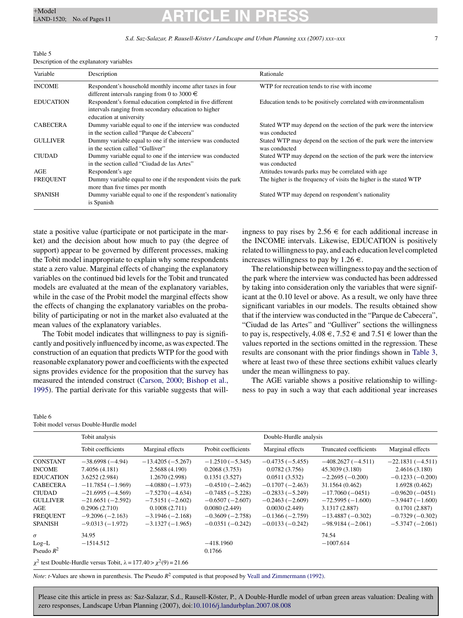#### *S.d. Saz-Salazar, P. Rausell-K ¨oster / Landscape and Urban Planning xxx (2007) xxx–xxx* 7

<span id="page-6-0"></span>

| Table 5 |                                          |  |
|---------|------------------------------------------|--|
|         | Description of the explanatory variables |  |

| Variable         | Description                                                                                                                                  | Rationale                                                                            |
|------------------|----------------------------------------------------------------------------------------------------------------------------------------------|--------------------------------------------------------------------------------------|
| <b>INCOME</b>    | Respondent's household monthly income after taxes in four<br>different intervals ranging from 0 to 3000 $\in$                                | WTP for recreation tends to rise with income                                         |
| <b>EDUCATION</b> | Respondent's formal education completed in five different<br>intervals ranging from secondary education to higher<br>education at university | Education tends to be positively correlated with environmentalism                    |
| <b>CABECERA</b>  | Dummy variable equal to one if the interview was conducted<br>in the section called "Parque de Cabecera"                                     | Stated WTP may depend on the section of the park were the interview<br>was conducted |
| <b>GULLIVER</b>  | Dummy variable equal to one if the interview was conducted<br>in the section called "Gulliver"                                               | Stated WTP may depend on the section of the park were the interview<br>was conducted |
| <b>CIUDAD</b>    | Dummy variable equal to one if the interview was conducted<br>in the section called "Ciudad de las Artes"                                    | Stated WTP may depend on the section of the park were the interview<br>was conducted |
| AGE              | Respondent's age                                                                                                                             | Attitudes towards parks may be correlated with age                                   |
| <b>FREQUENT</b>  | Dummy variable equal to one if the respondent visits the park<br>more than five times per month                                              | The higher is the frequency of visits the higher is the stated WTP                   |
| <b>SPANISH</b>   | Dummy variable equal to one if the respondent's nationality<br>is Spanish                                                                    | Stated WTP may depend on respondent's nationality                                    |

state a positive value (participate or not participate in the market) and the decision about how much to pay (the degree of support) appear to be governed by different processes, making the Tobit model inappropriate to explain why some respondents state a zero value. Marginal effects of changing the explanatory variables on the continued bid levels for the Tobit and truncated models are evaluated at the mean of the explanatory variables, while in the case of the Probit model the marginal effects show the effects of changing the explanatory variables on the probability of participating or not in the market also evaluated at the mean values of the explanatory variables.

The Tobit model indicates that willingness to pay is significantly and positively influenced by income, as was expected. The construction of an equation that predicts WTP for the good with reasonable explanatory power and coefficients with the expected signs provides evidence for the proposition that the survey has measured the intended construct ([Carson, 2000; Bishop et al.,](#page-9-0) [1995\).](#page-9-0) The partial derivate for this variable suggests that will-

| Table 6 |                                        |
|---------|----------------------------------------|
|         | Tobit model versus Double-Hurdle model |

ingness to pay rises by 2.56  $\in$  for each additional increase in the INCOME intervals. Likewise, EDUCATION is positively related to willingness to pay, and each education level completed increases willingness to pay by  $1.26 \in$ .

The relationship between willingness to pay and the section of the park where the interview was conducted has been addressed by taking into consideration only the variables that were significant at the 0.10 level or above. As a result, we only have three significant variables in our models. The results obtained show that if the interview was conducted in the "Parque de Cabecera", "Ciudad de las Artes" and "Gulliver" sections the willingness to pay is, respectively,  $4.08 \in 7.52 \in \text{and } 7.51 \in \text{lower than the}$ values reported in the sections omitted in the regression. These results are consonant with the prior findings shown in [Table 3,](#page-5-0) where at least two of these three sections exhibit values clearly under the mean willingness to pay.

The AGE variable shows a positive relationship to willingness to pay in such a way that each additional year increases

|                  | Tobit analysis     |                    |                     | Double-Hurdle analysis |                        |                    |
|------------------|--------------------|--------------------|---------------------|------------------------|------------------------|--------------------|
|                  | Tobit coefficients | Marginal effects   | Probit coefficients | Marginal effects       | Truncated coefficients | Marginal effects   |
| <b>CONSTANT</b>  | $-38.6998(-4.94)$  | $-13.4205(-5.267)$ | $-1.2510(-5.345)$   | $-0.4735(-5.455)$      | $-408.2627(-4.511)$    | $-22.1831(-4.511)$ |
| <b>INCOME</b>    | 7.4056 (4.181)     | 2.5688(4.190)      | 0.2068(3.753)       | 0.0782(3.756)          | 45.3039 (3.180)        | 2.4616(3.180)      |
| <b>EDUCATION</b> | 3.6252(2.984)      | 1.2670 (2.998)     | 0.1351(3.527)       | 0.0511(3.532)          | $-2.2695(-0.200)$      | $-0.1233(-0.200)$  |
| <b>CABECERA</b>  | $-11.7854(-1.969)$ | $-4.0880(-1.973)$  | $-0.4510(-2.462)$   | $-0.1707(-2.463)$      | 31.1564 (0.462)        | 1.6928(0.462)      |
| <b>CIUDAD</b>    | $-21.6995(-4.569)$ | $-7.5270(-4.634)$  | $-0.7485(-5.228)$   | $-0.2833(-5.249)$      | $-17.7060(-0451)$      | $-0.9620(-0451)$   |
| <b>GULLIVER</b>  | $-21.6651(-2.592)$ | $-7.5151(-2.602)$  | $-0.6507(-2.607)$   | $-0.2463(-2.609)$      | $-72.5995(-1.600)$     | $-3.9447(-1.600)$  |
| AGE              | 0.2906(2.710)      | 0.1008(2.711)      | 0.0080(2.449)       | 0.0030(2.449)          | 3.1317 (2.887)         | 0.1701(2.887)      |
| <b>FREQUENT</b>  | $-9.2096(-2.163)$  | $-3.1946(-2.168)$  | $-0.3609(-2.758)$   | $-0.1366(-2.759)$      | $-13.4887(-0.302)$     | $-0.7329(-0.302)$  |
| <b>SPANISH</b>   | $-9.0313(-1.972)$  | $-3.1327(-1.965)$  | $-0.0351(-0.242)$   | $-0.0133(-0.242)$      | $-98.9184(-2.061)$     | $-5.3747(-2.061)$  |
| $\sigma$         | 34.95              |                    |                     |                        | 74.54                  |                    |
| $Log-L$          | $-1514.512$        |                    | $-418.1960$         |                        | $-1007.614$            |                    |
| Pseudo $R^2$     |                    |                    | 0.1766              |                        |                        |                    |
|                  |                    |                    |                     |                        |                        |                    |

 $\chi^2$  test Double-Hurdle versus Tobit,  $\lambda = 177.40 > \chi^2(9) = 21.66$ 

*Note: t*-Values are shown in parenthesis. The Pseudo  $R^2$  computed is that proposed by [Veall and Zimmermann \(1992\).](#page-10-0)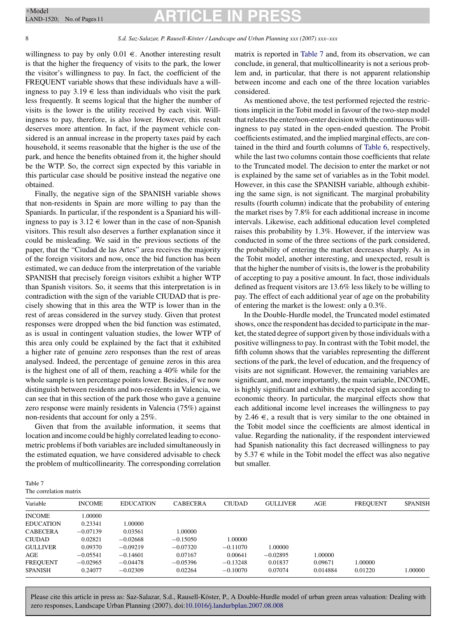willingness to pay by only  $0.01 \in$ . Another interesting result is that the higher the frequency of visits to the park, the lower the visitor's willingness to pay. In fact, the coefficient of the FREQUENT variable shows that these individuals have a willingness to pay 3.19  $\in$  less than individuals who visit the park less frequently. It seems logical that the higher the number of visits is the lower is the utility received by each visit. Willingness to pay, therefore, is also lower. However, this result deserves more attention. In fact, if the payment vehicle considered is an annual increase in the property taxes paid by each household, it seems reasonable that the higher is the use of the park, and hence the benefits obtained from it, the higher should be the WTP. So, the correct sign expected by this variable in this particular case should be positive instead the negative one obtained.

Finally, the negative sign of the SPANISH variable shows that non-residents in Spain are more willing to pay than the Spaniards. In particular, if the respondent is a Spaniard his willingness to pay is  $3.12 \in$  lower than in the case of non-Spanish visitors. This result also deserves a further explanation since it could be misleading. We said in the previous sections of the paper, that the "Ciudad de las Artes" area receives the majority of the foreign visitors and now, once the bid function has been estimated, we can deduce from the interpretation of the variable SPANISH that precisely foreign visitors exhibit a higher WTP than Spanish visitors. So, it seems that this interpretation is in contradiction with the sign of the variable CIUDAD that is precisely showing that in this area the WTP is lower than in the rest of areas considered in the survey study. Given that protest responses were dropped when the bid function was estimated, as is usual in contingent valuation studies, the lower WTP of this area only could be explained by the fact that it exhibited a higher rate of genuine zero responses than the rest of areas analysed. Indeed, the percentage of genuine zeros in this area is the highest one of all of them, reaching a 40% while for the whole sample is ten percentage points lower. Besides, if we now distinguish between residents and non-residents in Valencia, we can see that in this section of the park those who gave a genuine zero response were mainly residents in Valencia (75%) against non-residents that account for only a 25%.

Given that from the available information, it seems that location and income could be highly correlated leading to econometric problems if both variables are included simultaneously in the estimated equation, we have considered advisable to check the problem of multicollinearity. The corresponding correlation

matrix is reported in Table 7 and, from its observation, we can conclude, in general, that multicollinearity is not a serious problem and, in particular, that there is not apparent relationship between income and each one of the three location variables considered.

As mentioned above, the test performed rejected the restrictions implicit in the Tobit model in favour of the two-step model that relates the enter/non-enter decision with the continuous willingness to pay stated in the open-ended question. The Probit coefficients estimated, and the implied marginal effects, are contained in the third and fourth columns of [Table 6,](#page-6-0) respectively, while the last two columns contain those coefficients that relate to the Truncated model. The decision to enter the market or not is explained by the same set of variables as in the Tobit model. However, in this case the SPANISH variable, although exhibiting the same sign, is not significant. The marginal probability results (fourth column) indicate that the probability of entering the market rises by 7.8% for each additional increase in income intervals. Likewise, each additional education level completed raises this probability by 1.3%. However, if the interview was conducted in some of the three sections of the park considered, the probability of entering the market decreases sharply. As in the Tobit model, another interesting, and unexpected, result is that the higher the number of visits is, the lower is the probability of accepting to pay a positive amount. In fact, those individuals defined as frequent visitors are 13.6% less likely to be willing to pay. The effect of each additional year of age on the probability of entering the market is the lowest: only a 0.3%.

In the Double-Hurdle model, the Truncated model estimated shows, once the respondent has decided to participate in the market, the stated degree of support given by those individuals with a positive willingness to pay. In contrast with the Tobit model, the fifth column shows that the variables representing the different sections of the park, the level of education, and the frequency of visits are not significant. However, the remaining variables are significant, and, more importantly, the main variable, INCOME, is highly significant and exhibits the expected sign according to economic theory. In particular, the marginal effects show that each additional income level increases the willingness to pay by 2.46  $\in$ , a result that is very similar to the one obtained in the Tobit model since the coefficients are almost identical in value. Regarding the nationality, if the respondent interviewed had Spanish nationality this fact decreased willingness to pay by  $5.37 \in \mathbf{while}$  in the Tobit model the effect was also negative but smaller.

| Table 7 |                        |  |
|---------|------------------------|--|
|         | The correlation matrix |  |

| Variable         | <b>INCOME</b> | <b>EDUCATION</b> | <b>CABECERA</b> | <b>CIUDAD</b> | <b>GULLIVER</b> | AGE      | <b>FREQUENT</b> | <b>SPANISH</b> |
|------------------|---------------|------------------|-----------------|---------------|-----------------|----------|-----------------|----------------|
| <b>INCOME</b>    | 1.00000       |                  |                 |               |                 |          |                 |                |
| <b>EDUCATION</b> | 0.23341       | .00000           |                 |               |                 |          |                 |                |
| <b>CABECERA</b>  | $-0.07139$    | 0.03561          | 1.00000         |               |                 |          |                 |                |
| <b>CIUDAD</b>    | 0.02821       | $-0.02668$       | $-0.15050$      | 1.00000       |                 |          |                 |                |
| <b>GULLIVER</b>  | 0.09370       | $-0.09219$       | $-0.07320$      | $-0.11070$    | 1.00000         |          |                 |                |
| AGE              | $-0.05541$    | $-0.14601$       | 0.07167         | 0.00641       | $-0.02895$      | 1.00000  |                 |                |
| <b>FREQUENT</b>  | $-0.02965$    | $-0.04478$       | $-0.05396$      | $-0.13248$    | 0.01837         | 0.09671  | 1.00000         |                |
| <b>SPANISH</b>   | 0.24077       | $-0.02309$       | 0.02264         | $-0.10070$    | 0.07074         | 0.014884 | 0.01220         | 1.00000        |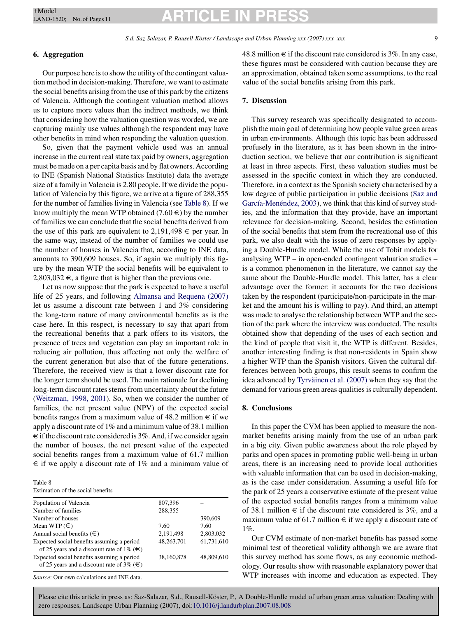## **6. Aggregation**

Our purpose here is to show the utility of the contingent valuation method in decision-making. Therefore, we want to estimate the social benefits arising from the use of this park by the citizens of Valencia. Although the contingent valuation method allows us to capture more values than the indirect methods, we think that considering how the valuation question was worded, we are capturing mainly use values although the respondent may have other benefits in mind when responding the valuation question.

So, given that the payment vehicle used was an annual increase in the current real state tax paid by owners, aggregation must be made on a per capita basis and by flat owners. According to INE (Spanish National Statistics Institute) data the average size of a family in Valencia is 2.80 people. If we divide the population of Valencia by this figure, we arrive at a figure of 288,355 for the number of families living in Valencia (see Table 8). If we know multiply the mean WTP obtained (7.60  $\in$  ) by the number of families we can conclude that the social benefits derived from the use of this park are equivalent to  $2,191,498 \in$  per year. In the same way, instead of the number of families we could use the number of houses in Valencia that, according to INE data, amounts to 390,609 houses. So, if again we multiply this figure by the mean WTP the social benefits will be equivalent to  $2,803,032 \in$ , a figure that is higher than the previous one.

Let us now suppose that the park is expected to have a useful life of 25 years, and following [Almansa and Requena \(2007\)](#page-9-0) let us assume a discount rate between 1 and 3% considering the long-term nature of many environmental benefits as is the case here. In this respect, is necessary to say that apart from the recreational benefits that a park offers to its visitors, the presence of trees and vegetation can play an important role in reducing air pollution, thus affecting not only the welfare of the current generation but also that of the future generations. Therefore, the received view is that a lower discount rate for the longer term should be used. The main rationale for declining long-term discount rates stems from uncertainty about the future ([Weitzman, 1998, 2001\).](#page-10-0) So, when we consider the number of families, the net present value (NPV) of the expected social benefits ranges from a maximum value of 48.2 million  $\in$  if we apply a discount rate of 1% and a minimum value of 38.1 million  $\epsilon$  if the discount rate considered is 3%. And, if we consider again the number of houses, the net present value of the expected social benefits ranges from a maximum value of 61.7 million  $\epsilon$  if we apply a discount rate of 1% and a minimum value of

Table 8 Estimation of the social benefits

| Population of Valencia                                                                        | 807,396    |            |
|-----------------------------------------------------------------------------------------------|------------|------------|
| Number of families                                                                            | 288,355    |            |
| Number of houses                                                                              |            | 390,609    |
| Mean WTP $(\in)$                                                                              | 7.60       | 7.60       |
| Annual social benefits $(\epsilon)$                                                           | 2,191,498  | 2,803,032  |
| Expected social benefits assuming a period                                                    | 48.263.701 | 61,731,610 |
| of 25 years and a discount rate of 1% ( $\in$ )                                               |            |            |
| Expected social benefits assuming a period<br>of 25 years and a discount rate of 3% ( $\in$ ) | 38,160,878 | 48,809,610 |
|                                                                                               |            |            |

*Source*: Our own calculations and INE data.

48.8 million  $\in$  if the discount rate considered is 3%. In any case, these figures must be considered with caution because they are an approximation, obtained taken some assumptions, to the real value of the social benefits arising from this park.

## **7. Discussion**

This survey research was specifically designated to accomplish the main goal of determining how people value green areas in urban environments. Although this topic has been addressed profusely in the literature, as it has been shown in the introduction section, we believe that our contribution is significant at least in three aspects. First, these valuation studies must be assessed in the specific context in which they are conducted. Therefore, in a context as the Spanish society characterised by a low degree of public participation in public decisions [\(Saz and](#page-9-0) García-Menéndez, 2003), we think that this kind of survey studies, and the information that they provide, have an important relevance for decision-making. Second, besides the estimation of the social benefits that stem from the recreational use of this park, we also dealt with the issue of zero responses by applying a Double-Hurdle model. While the use of Tobit models for analysing WTP – in open-ended contingent valuation studies – is a common phenomenon in the literature, we cannot say the same about the Double-Hurdle model. This latter, has a clear advantage over the former: it accounts for the two decisions taken by the respondent (participate/non-participate in the market and the amount his is willing to pay). And third, an attempt was made to analyse the relationship between WTP and the section of the park where the interview was conducted. The results obtained show that depending of the uses of each section and the kind of people that visit it, the WTP is different. Besides, another interesting finding is that non-residents in Spain show a higher WTP than the Spanish visitors. Given the cultural differences between both groups, this result seems to confirm the idea advanced by Tyrväinen et al. (2007) when they say that the demand for various green areas qualities is culturally dependent.

### **8. Conclusions**

In this paper the CVM has been applied to measure the nonmarket benefits arising mainly from the use of an urban park in a big city. Given public awareness about the role played by parks and open spaces in promoting public well-being in urban areas, there is an increasing need to provide local authorities with valuable information that can be used in decision-making, as is the case under consideration. Assuming a useful life for the park of 25 years a conservative estimate of the present value of the expected social benefits ranges from a minimum value of 38.1 million  $\epsilon$  if the discount rate considered is 3%, and a maximum value of 61.7 million  $\epsilon$  if we apply a discount rate of 1%.

Our CVM estimate of non-market benefits has passed some minimal test of theoretical validity although we are aware that this survey method has some flows, as any economic methodology. Our results show with reasonable explanatory power that WTP increases with income and education as expected. They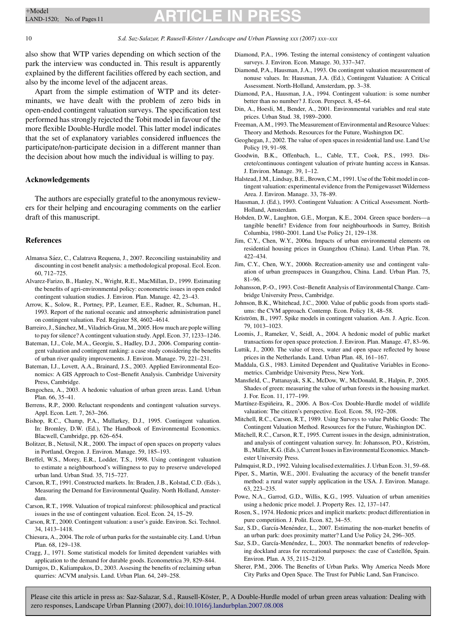# <span id="page-9-0"></span><sup>+Model</sup><br>LAND 1520: No of Page 11 ARTICLE IN

#### 10 *S.d. Saz-Salazar, P. Rausell-Köster / Landscape and Urban Planning xxx (2007) xxx–xxx*

also show that WTP varies depending on which section of the park the interview was conducted in. This result is apparently explained by the different facilities offered by each section, and also by the income level of the adjacent areas.

Apart from the simple estimation of WTP and its determinants, we have dealt with the problem of zero bids in open-ended contingent valuation surveys. The specification test performed has strongly rejected the Tobit model in favour of the more flexible Double-Hurdle model. This latter model indicates that the set of explanatory variables considered influences the participate/non-participate decision in a different manner than the decision about how much the individual is willing to pay.

#### **Acknowledgements**

The authors are especially grateful to the anonymous reviewers for their helping and encouraging comments on the earlier draft of this manuscript.

#### **References**

- Almansa Sáez, C., Calatrava Requena, J., 2007. Reconciling sustainability and discounting in cost benefit analysis: a methodological proposal. Ecol. Econ. 60, 712–725.
- Alvarez-Farizo, B., Hanley, N., Wright, R.E., MacMillan, D., 1999. Estimating the benefits of agri-environmental policy: econometric issues in open ended contingent valuation studies. J. Environ. Plan. Manage. 42, 23–43.
- Arrow, K., Solow, R., Portney, P.P., Leamer, E.E., Radner, R., Schuman, H., 1993. Report of the national oceanic and atmospheric administration panel on contingent valuation. Fed. Register 58, 4602–4614.
- Barreiro, J., Sánchez, M., Viladrich-Grau, M., 2005. How much are pople willing to pay for silence? A contingent valuation study. Appl. Econ. 37, 1233–1246.
- Bateman, I.J., Cole, M.A., Georgiu, S., Hadley, D.J., 2006. Comparing contingent valuation and contingent ranking: a case study considering the benefits of urban river quality improvements. J. Environ. Manage. 79, 221–231.
- Bateman, I.J., Lovett, A.A., Brainard, J.S., 2003. Applied Environmental Economics: A GIS Approach to Cost–Benefit Analysis. Cambridge University Press, Cambridge.
- Bengochea, A., 2003. A hedonic valuation of urban green areas. Land. Urban Plan. 66, 35–41.
- Berrens, R.P., 2000. Reluctant respondents and contingent valuation surveys. Appl. Econ. Lett. 7, 263–266.
- Bishop, R.C., Champ, P.A., Mullarkey, D.J., 1995. Contingent valuation. In: Bromley, D.W. (Ed.), The Handbook of Environmental Economics. Blacwell, Cambridge, pp. 626–654.
- Bolitzer, B., Netusil, N.R., 2000. The impact of open spaces on property values in Portland, Oregon. J. Environ. Manage. 59, 185–193.
- Breffel, W.S., Morey, E.R., Lodder, T.S., 1998. Using contingent valuation to estimate a neighbourhood's willingness to pay to preserve undeveloped urban land. Urban Stud. 35, 715–727.
- Carson, R.T., 1991. Constructed markets. In: Braden, J.B., Kolstad, C.D. (Eds.), Measuring the Demand for Environmental Quality. North Holland, Amsterdam.
- Carson, R.T., 1998. Valuation of tropical rainforest: philosophical and practical issues in the use of contingent valuation. Ecol. Econ. 24, 15–29.
- Carson, R.T., 2000. Contingent valuation: a user's guide. Environ. Sci. Technol. 34, 1413–1418.
- Chiesura, A., 2004. The role of urban parks for the sustainable city. Land. Urban Plan. 68, 129–138.
- Cragg, J., 1971. Some statistical models for limited dependent variables with application to the demand for durable goods. Econometrica 39, 829–844.
- Damigos, D., Kaliampakos, D., 2003. Assesing the benefits of reclaiming urban quarries: ACVM analysis. Land. Urban Plan. 64, 249–258.
- Diamond, P.A., 1996. Testing the internal consistency of contingent valuation surveys. J. Environ. Econ. Manage. 30, 337–347.
- Diamond, P.A., Hausman, J.A., 1993. On contingent valuation measurement of nonuse values. In: Hausman, J.A. (Ed.), Contingent Valuation: A Critical Assessment. North-Holland, Amsterdam, pp. 3–38.
- Diamond, P.A., Hausman, J.A., 1994. Contingent valuation: is some number better than no number? J. Econ. Perspect. 8, 45–64.
- Din, A., Hoesli, M., Bender, A., 2001. Environmental variables and real state prices. Urban Stud. 38, 1989–2000.
- Freeman, A.M., 1993. The Measurement of Environmental and Resource Values: Theory and Methods. Resources for the Future, Washington DC.
- Geoghegan, J., 2002. The value of open spaces in residential land use. Land Use Policy 19, 91–98.
- Goodwin, B.K., Offenbach, L., Cable, T.T., Cook, P.S., 1993. Discrete/continuous contingent valuation of private hunting access in Kansas. J. Environ. Manage. 39, 1–12.
- Halstead, J.M., Lindsay, B.E., Brown, C.M., 1991. Use of the Tobit model in contingent valuation: experimental evidence from the Pemigewasset Wilderness Area. J. Environ. Manage. 33, 78–89.
- Hausman, J. (Ed.), 1993. Contingent Valuation: A Critical Assessment. North-Holland, Amsterdam.
- Hobden, D.W., Laughton, G.E., Morgan, K.E., 2004. Green space borders—a tangible benefit? Evidence from four neighbourhoods in Surrey, British Columbia, 1980–2001. Land Use Policy 21, 129–138.
- Jim, C.Y., Chen, W.Y., 2006a. Impacts of urban environmental elements on residential housing prices in Guangzhou (China). Land. Urban Plan. 78, 422–434.
- Jim, C.Y., Chen, W.Y., 2006b. Recreation-amenity use and contingent valuation of urban greenspaces in Guangzhou, China. Land. Urban Plan. 75, 81–96.
- Johansson, P.-O., 1993. Cost–Benefit Analysis of Environmental Change. Cambridge University Press, Cambridge.
- Johnson, B.K., Whitehead, J.C., 2000. Value of public goods from sports stadiums: the CVM approach. Contemp. Econ. Policy 18, 48–58.
- Kriström, B., 1997. Spike models in contingent valuation. Am. J. Agric. Econ. 79, 1013–1023.
- Loomis, J., Rameker, V., Seidl, A., 2004. A hedonic model of public market transactions for open space protection. J. Environ. Plan. Manage. 47, 83–96.
- Luttik, J., 2000. The value of trees, water and open space reflected by house prices in the Netherlands. Land. Urban Plan. 48, 161–167.
- Maddala, G.S., 1983. Limited Dependent and Qualitative Variables in Econometrics. Cambridge University Press, New York.
- Mansfield, C., Pattanayak, S.K., McDow, W., McDonald, R., Halpin, P., 2005. Shades of green: measuring the value of urban forests in the housing market. J. For. Econ. 11, 177–199.
- Martínez-Espiñeira, R., 2006. A Box–Cox Double-Hurdle model of wildlife valuation: The citizen's perspective. Ecol. Econ. 58, 192–208.
- Mitchell, R.C., Carson, R.T., 1989. Using Surveys to value Public Goods: The Contingent Valuation Method. Resources for the Future, Washington DC.
- Mitchell, R.C., Carson, R.T., 1995. Current issues in the design, administration, and analysis of contingent valuation survey. In: Johansson, P.O., Kriström, B., Mäller, K.G. (Eds.), Current Issues in Environmental Economics. Manchester University Press.

Palmquist, R.D., 1992. Valuing localised externalities. J. Urban Econ. 31, 59–68.

- Piper, S., Martin, W.E., 2001. Evaluating the accuracy of the benefit transfer method: a rural water supply application in the USA. J. Environ. Manage. 63, 223–235.
- Powe, N.A., Garrod, G.D., Willis, K.G., 1995. Valuation of urban amenities using a hedonic price model. J. Property Res. 12, 137–147.
- Rosen, S., 1974. Hedonic prices and implicit markets: product differentiation in pure competition. J. Polit. Econ. 82, 34–55.
- Saz, S.D., García-Menéndez, L., 2007. Estimating the non-market benefits of an urban park: does proximity matter? Land Use Policy 24, 296–305.
- Saz, S.D., García-Menéndez, L., 2003. The nonmarket benefits of redeveloping dockland areas for recreational purposes: the case of Castellón, Spain. Environ. Plan. A 35, 2115–2129.
- Sherer, P.M., 2006. The Benefits of Urban Parks. Why America Needs More City Parks and Open Space. The Trust for Public Land, San Francisco.